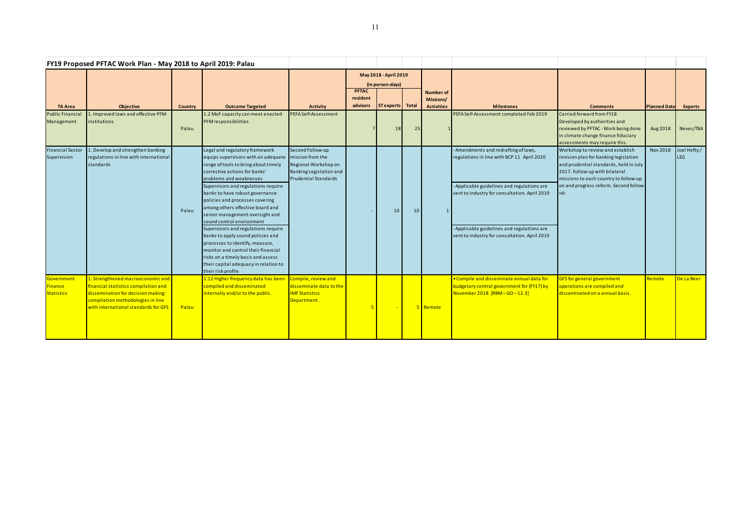| FY19 Proposed PFTAC Work Plan - May 2018 to April 2019: Palau |                                                                                                                                                                                              |                |                                                                                                                                                                                                                                                                                                                                                                                                                                                                                                                                                                                                                                                       |                                                                                                                        |                                           |                  |                 |                                                    |                                                                                                                                                                                                                                                                                    |                                                                                                                                                                                                                                                 |                     |                            |
|---------------------------------------------------------------|----------------------------------------------------------------------------------------------------------------------------------------------------------------------------------------------|----------------|-------------------------------------------------------------------------------------------------------------------------------------------------------------------------------------------------------------------------------------------------------------------------------------------------------------------------------------------------------------------------------------------------------------------------------------------------------------------------------------------------------------------------------------------------------------------------------------------------------------------------------------------------------|------------------------------------------------------------------------------------------------------------------------|-------------------------------------------|------------------|-----------------|----------------------------------------------------|------------------------------------------------------------------------------------------------------------------------------------------------------------------------------------------------------------------------------------------------------------------------------------|-------------------------------------------------------------------------------------------------------------------------------------------------------------------------------------------------------------------------------------------------|---------------------|----------------------------|
|                                                               |                                                                                                                                                                                              |                |                                                                                                                                                                                                                                                                                                                                                                                                                                                                                                                                                                                                                                                       |                                                                                                                        | May 2018 - April 2019<br>(in person-days) |                  |                 |                                                    |                                                                                                                                                                                                                                                                                    |                                                                                                                                                                                                                                                 |                     |                            |
| <b>TA Area</b>                                                | Objective                                                                                                                                                                                    | <b>Country</b> | <b>Outcome Targeted</b>                                                                                                                                                                                                                                                                                                                                                                                                                                                                                                                                                                                                                               | <b>Activity</b>                                                                                                        | <b>PFTAC</b><br>resident<br>advisors      | ST experts Total |                 | <b>Number of</b><br>Missions/<br><b>Activities</b> | <b>Milestones</b>                                                                                                                                                                                                                                                                  | <b>Comments</b>                                                                                                                                                                                                                                 | <b>Planned Date</b> | <b>Experts</b>             |
| <b>Public Financial</b><br>Management                         | . Improved laws and effective PFM<br>nstitutions                                                                                                                                             | Palau          | 1.2 MoF capacity can meet enacted<br>PFM responsibilities                                                                                                                                                                                                                                                                                                                                                                                                                                                                                                                                                                                             | PEFA Self-Assessment                                                                                                   |                                           | 18               | 25              |                                                    | PEFA Self-Assessment completed Feb 2019                                                                                                                                                                                                                                            | Carried forward from FY18<br>Developed by authorities and<br>reviewed by PFTAC - Work being done<br>in climate change finance fiduciary<br>assessments may require this.                                                                        | Aug 2018            | Neves/TBA                  |
| <b>Financial Sector</b><br>Supervision                        | L. Develop and strengthen banking<br>regulations in line with international<br>standards                                                                                                     | Palau          | Legal and regulatory framework<br>equips supervisors with an adequate<br>range of tools to bring about timely<br>corrective actions for banks'<br>problems and weaknesses<br>Supervisors and regulations require<br>banks to have robust governance<br>policies and processes covering<br>among others effective board and<br>senior management oversight and<br>sound control environment<br>Supervisors and regulations require<br>banks to apply sound policies and<br>processes to identify, measure,<br>monitor and control their financial<br>risks on a timely basis and assess<br>their capital adequacy in relation to<br>their risk profile | Second Follow-up<br>mission from the<br>Regional Workshop on<br>Banking Legislation and<br><b>Prudential Standards</b> |                                           | 10               | 10 <sup>1</sup> | $\mathbf{1}$                                       | - Amendments and redrafting of laws,<br>regulations in line with BCP 11 April 2020<br>- Applicable guidelines and regulations are<br>sent to industry for consultation. April 2019<br>- Applicable guidelines and regulations are<br>sent to industry for consultation. April 2019 | Workshop to review and establish<br>revision plan for banking legislation<br>and prudential standards, held in July<br>2017. Follow up with bilateral<br>missions to each country to follow-up<br>on and progress reform. Second follow-<br>up. | <b>Nov 2018</b>     | Joel Hefty /<br><b>LEG</b> |
| Government<br>Finance<br><b>Statistics</b>                    | 1. Strengthened macroeconomic and<br>financial statistics compilation and<br>dissemination for decision making:<br>compilation methodologies in line<br>with international standards for GFS | Palau          | 1.12 Higher frequency data has beer<br>compiled and disseminated<br>internally and/or to the public.                                                                                                                                                                                                                                                                                                                                                                                                                                                                                                                                                  | Compile, review and<br>disseminate data to the<br><b>IMF Statistics</b><br>Department.                                 |                                           |                  |                 | 5 Remote                                           | • Compile and disseminate annual data for<br>budgetary central government for (FY17) by<br>November 2018. [RBM-GO-12.3]                                                                                                                                                            | <b>GFS for general government</b><br>operations are compiled and<br>disseminated on a annual basis.                                                                                                                                             | Remote              | De La Beer                 |